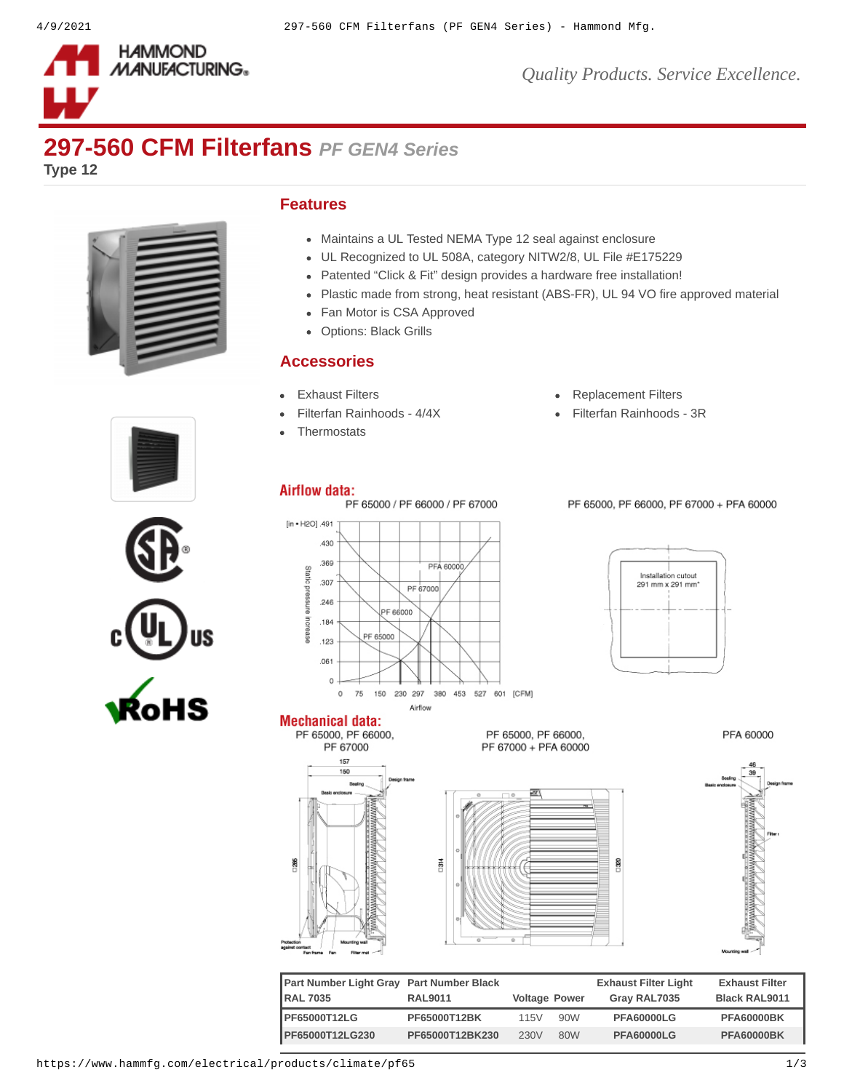

*Quality Products. Service Excellence.*

## **297-560 CFM Filterfans** *PF GEN4 Series*

**Type 12**



## **Features**

- Maintains a UL Tested NEMA Type 12 seal against enclosure
- UL Recognized to UL 508A, category NITW2/8, UL File #E175229
- Patented "Click & Fit" design provides a hardware free installation!
- Plastic made from strong, heat resistant (ABS-FR), UL 94 VO fire approved material
- Fan Motor is CSA Approved
- Options: Black Grills

## **Accessories**

- 
- 
- **[Thermostats](https://www.hammfg.com/electrical/products/climate/skt?referer=413&itm_type=accessory)**
- [Exhaust Filters](https://www.hammfg.com/electrical/products/climate/pfag4?referer=413&itm_type=accessory) **[Replacement Filters](https://www.hammfg.com/electrical/products/climate/pffg4?referer=413&itm_type=accessory)**

SIG

[Filterfan Rainhoods - 4/4X](https://www.hammfg.com/electrical/products/climate/rhn4?referer=413&itm_type=accessory) <br> [Filterfan Rainhoods - 3R](https://www.hammfg.com/electrical/products/climate/rh?referer=413&itm_type=accessory)





Airflow



PF 65000, PF 66000, PF 67000 + PFA 60000

**Mechanical data:** 

12K





PFA 60000

| Part Number Light Gray Part Number Black |                 |                      |     | <b>Exhaust Filter Light</b> | <b>Exhaust Filter</b> |
|------------------------------------------|-----------------|----------------------|-----|-----------------------------|-----------------------|
| <b>RAL 7035</b>                          | <b>RAL9011</b>  | <b>Voltage Power</b> |     | Gray RAL7035                | <b>Black RAL9011</b>  |
| <b>PF65000T12LG</b>                      | PF65000T12BK    | 115V                 | 90W | <b>PFA60000LG</b>           | <b>PFA60000BK</b>     |
| PF65000T12LG230                          | PF65000T12BK230 | 230V                 | 80W | <b>PFA60000LG</b>           | <b>PFA60000BK</b>     |